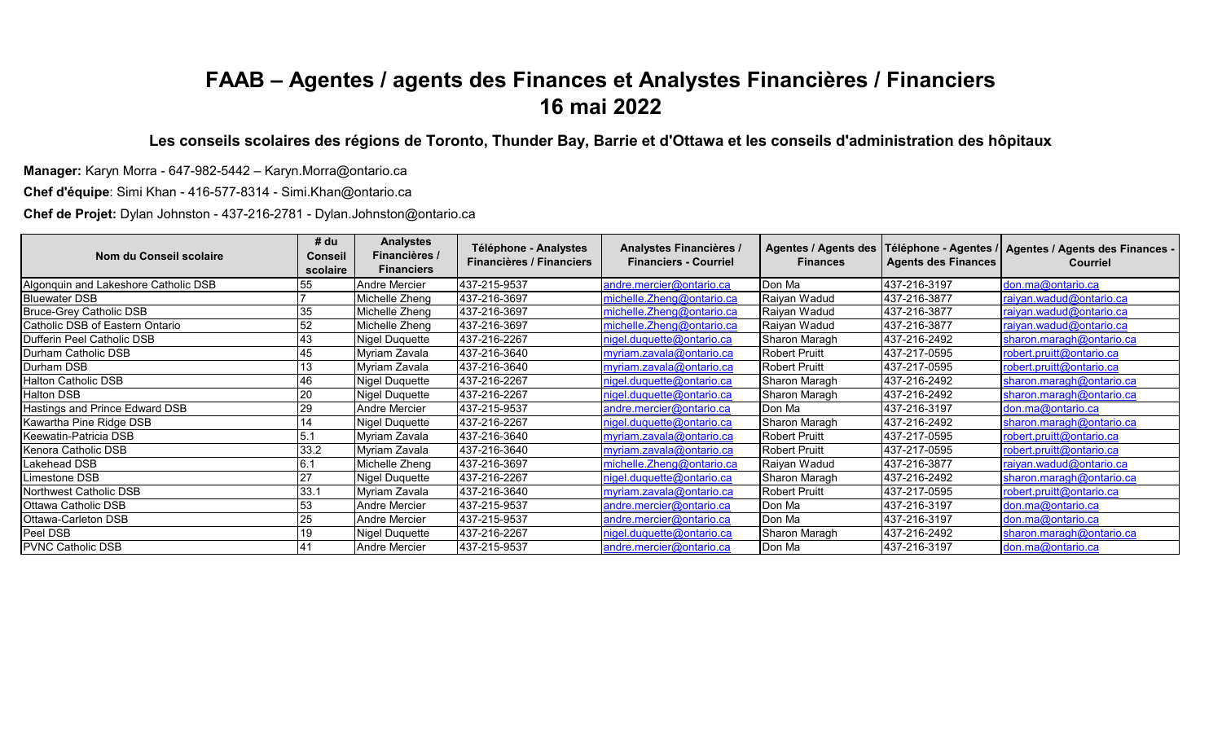## **FAAB – Agentes / agents des Finances et Analystes Financières / Financiers 16 mai 2022**

**Les conseils scolaires des régions de Toronto, Thunder Bay, Barrie et d'Ottawa et les conseils d'administration des hôpitaux**

**Manager:** Karyn Morra - 647-982-5442 – Karyn.Morra@ontario.ca

**Chef d'équipe**: Simi Khan - 416-577-8314 - Simi.Khan@ontario.ca

**Chef de Projet:** Dylan Johnston - 437-216-2781 - Dylan.Johnston@ontario.ca

| Nom du Conseil scolaire              | # du<br><b>Conseil</b><br>scolaire | <b>Analystes</b><br>Financières /<br><b>Financiers</b> | Téléphone - Analystes<br><b>Financières / Financiers</b> | Analystes Financières /<br><b>Financiers - Courriel</b> | <b>Agentes / Agents des</b><br><b>Finances</b> | <b>Agents des Finances</b> | Téléphone - Agentes /   Agentes / Agents des Finances -<br><b>Courriel</b> |
|--------------------------------------|------------------------------------|--------------------------------------------------------|----------------------------------------------------------|---------------------------------------------------------|------------------------------------------------|----------------------------|----------------------------------------------------------------------------|
| Algonquin and Lakeshore Catholic DSB | 55                                 | Andre Mercier                                          | 437-215-9537                                             | andre.mercier@ontario.ca                                | Don Ma                                         | 437-216-3197               | don.ma@ontario.ca                                                          |
| <b>Bluewater DSB</b>                 |                                    | Michelle Zheng                                         | 437-216-3697                                             | michelle.Zheng@ontario.ca                               | Raiyan Wadud                                   | 437-216-3877               | raiyan.wadud@ontario.ca                                                    |
| <b>Bruce-Grey Catholic DSB</b>       | 35                                 | Michelle Zheng                                         | 437-216-3697                                             | michelle.Zheng@ontario.ca                               | Raiyan Wadud                                   | 437-216-3877               | raiyan.wadud@ontario.ca                                                    |
| Catholic DSB of Eastern Ontario      | 52                                 | Michelle Zheng                                         | 437-216-3697                                             | michelle.Zheng@ontario.ca                               | Raiyan Wadud                                   | 437-216-3877               | raiyan.wadud@ontario.ca                                                    |
| Dufferin Peel Catholic DSB           | 43                                 | Nigel Duquette                                         | 437-216-2267                                             | nigel.duquette@ontario.ca                               | Sharon Maragh                                  | 437-216-2492               | sharon.maragh@ontario.ca                                                   |
| Durham Catholic DSB                  | 45                                 | Myriam Zavala                                          | 437-216-3640                                             | myriam.zavala@ontario.ca                                | <b>Robert Pruitt</b>                           | 437-217-0595               | robert.pruitt@ontario.ca                                                   |
| Durham DSB                           | 13                                 | Myriam Zavala                                          | 437-216-3640                                             | myriam.zavala@ontario.ca                                | <b>Robert Pruitt</b>                           | 437-217-0595               | robert.pruitt@ontario.ca                                                   |
| Halton Catholic DSB                  | 46                                 | Nigel Duquette                                         | 437-216-2267                                             | nigel.duquette@ontario.ca                               | Sharon Maragh                                  | 437-216-2492               | sharon.maragh@ontario.ca                                                   |
| Halton DSB                           |                                    | Nigel Duquette                                         | 437-216-2267                                             | nigel.duquette@ontario.ca                               | Sharon Maragh                                  | 437-216-2492               | sharon.maragh@ontario.ca                                                   |
| Hastings and Prince Edward DSB       | 29                                 | Andre Mercier                                          | 437-215-9537                                             | andre.mercier@ontario.ca                                | Don Ma                                         | 437-216-3197               | don.ma@ontario.ca                                                          |
| Kawartha Pine Ridge DSB              |                                    | Nigel Duquette                                         | 437-216-2267                                             | nigel.duquette@ontario.ca                               | Sharon Maragh                                  | 437-216-2492               | sharon.maragh@ontario.ca                                                   |
| Keewatin-Patricia DSB                | 5.1                                | Myriam Zavala                                          | 437-216-3640                                             | myriam.zavala@ontario.ca                                | <b>Robert Pruitt</b>                           | 437-217-0595               | robert.pruitt@ontario.ca                                                   |
| Kenora Catholic DSB                  | 33.2                               | Myriam Zavala                                          | 437-216-3640                                             | myriam.zavala@ontario.ca                                | <b>Robert Pruitt</b>                           | 437-217-0595               | robert.pruitt@ontario.ca                                                   |
| Lakehead DSB                         |                                    | Michelle Zheng                                         | 437-216-3697                                             | michelle.Zheng@ontario.ca                               | Raiyan Wadud                                   | 437-216-3877               | raiyan.wadud@ontario.ca                                                    |
| Limestone DSB                        | 27                                 | Nigel Duquette                                         | 437-216-2267                                             | nigel.duquette@ontario.ca                               | Sharon Maragh                                  | 437-216-2492               | sharon.maragh@ontario.ca                                                   |
| Northwest Catholic DSB               | 33.1                               | Myriam Zavala                                          | 437-216-3640                                             | myriam.zavala@ontario.ca                                | <b>Robert Pruitt</b>                           | 437-217-0595               | robert.pruitt@ontario.ca                                                   |
| Ottawa Catholic DSB                  | 53                                 | Andre Mercier                                          | 437-215-9537                                             | andre.mercier@ontario.ca                                | Don Ma                                         | 437-216-3197               | don.ma@ontario.ca                                                          |
| Ottawa-Carleton DSB                  |                                    | <b>Andre Mercier</b>                                   | 437-215-9537                                             | andre.mercier@ontario.ca                                | Don Ma                                         | 437-216-3197               | don.ma@ontario.ca                                                          |
| Peel DSB                             | 19                                 | Nigel Duquette                                         | 437-216-2267                                             | nigel.duquette@ontario.ca                               | Sharon Maragh                                  | 437-216-2492               | sharon.maragh@ontario.ca                                                   |
| <b>PVNC Catholic DSB</b>             |                                    | <b>Andre Mercier</b>                                   | 437-215-9537                                             | andre.mercier@ontario.ca                                | Don Ma                                         | 437-216-3197               | don.ma@ontario.ca                                                          |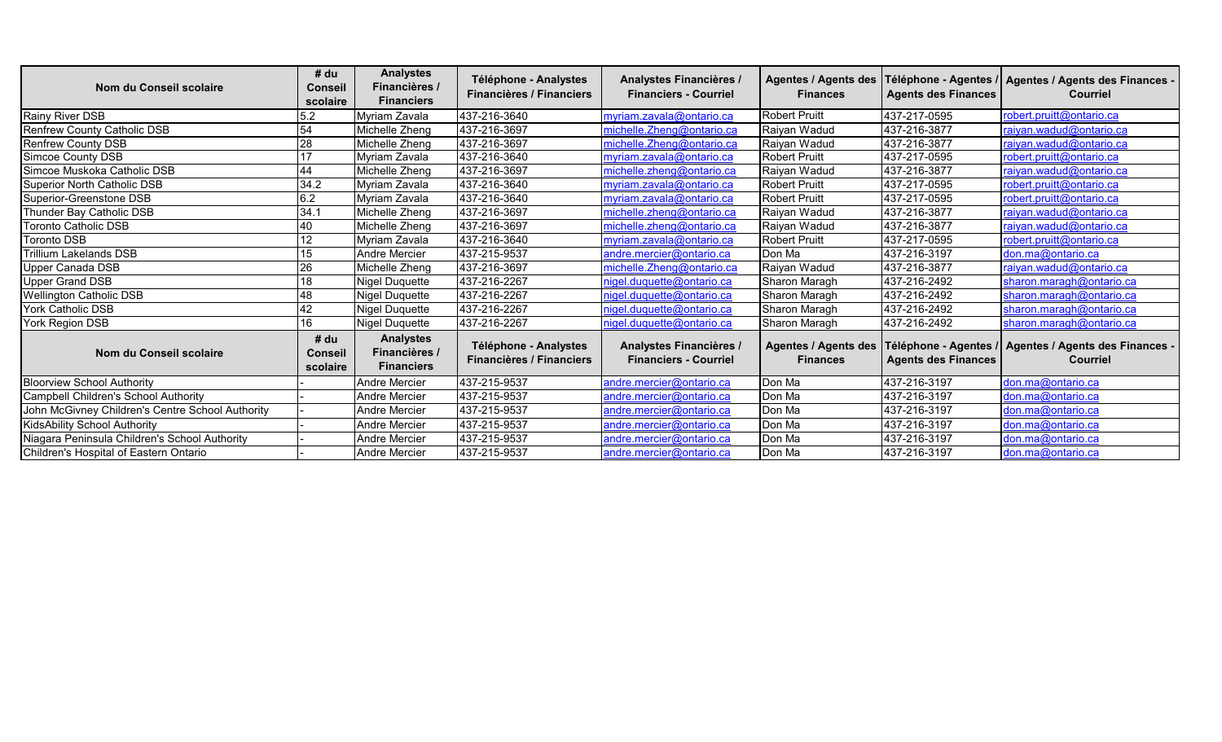| Nom du Conseil scolaire                          | # du<br><b>Conseil</b>             | <b>Analystes</b><br>Financières /                      | Téléphone - Analystes<br><b>Financières / Financiers</b> | Analystes Financières /<br><b>Financiers - Courriel</b> | Agentes / Agents des<br><b>Finances</b>        | <b>Agents des Finances</b> | Téléphone - Agentes /   Agentes / Agents des Finances -<br><b>Courriel</b> |
|--------------------------------------------------|------------------------------------|--------------------------------------------------------|----------------------------------------------------------|---------------------------------------------------------|------------------------------------------------|----------------------------|----------------------------------------------------------------------------|
|                                                  | scolaire                           | <b>Financiers</b>                                      |                                                          |                                                         |                                                |                            |                                                                            |
| Rainy River DSB                                  | 5.2                                | Myriam Zavala                                          | 437-216-3640                                             | myriam.zavala@ontario.ca                                | <b>Robert Pruitt</b>                           | 437-217-0595               | robert.pruitt@ontario.ca                                                   |
| <b>Renfrew County Catholic DSB</b>               | 54                                 | Michelle Zheng                                         | 437-216-3697                                             | michelle. Zheng@ontario.ca                              | Raiyan Wadud                                   | 437-216-3877               | raiyan.wadud@ontario.ca                                                    |
| Renfrew County DSB                               | 28                                 | Michelle Zheng                                         | 437-216-3697                                             | michelle.Zheng@ontario.ca                               | Raiyan Wadud                                   | 437-216-3877               | raiyan.wadud@ontario.ca                                                    |
| Simcoe County DSB                                | 17                                 | Myriam Zavala                                          | 437-216-3640                                             | myriam.zavala@ontario.ca                                | <b>Robert Pruitt</b>                           | 437-217-0595               | robert.pruitt@ontario.ca                                                   |
| Simcoe Muskoka Catholic DSB                      | 44                                 | Michelle Zheng                                         | 437-216-3697                                             | michelle.zheng@ontario.ca                               | Raiyan Wadud                                   | 437-216-3877               | raiyan.wadud@ontario.ca                                                    |
| Superior North Catholic DSB                      | 34.2                               | Myriam Zavala                                          | 437-216-3640                                             | myriam.zavala@ontario.ca                                | <b>Robert Pruitt</b>                           | 437-217-0595               | robert.pruitt@ontario.ca                                                   |
| Superior-Greenstone DSB                          | 6.2                                | Myriam Zavala                                          | 437-216-3640                                             | myriam.zavala@ontario.ca                                | <b>Robert Pruitt</b>                           | 437-217-0595               | robert.pruitt@ontario.ca                                                   |
| Thunder Bay Catholic DSB                         | 34.7                               | Michelle Zheng                                         | 437-216-3697                                             | michelle.zheng@ontario.ca                               | Raiyan Wadud                                   | 437-216-3877               | raiyan.wadud@ontario.ca                                                    |
| <b>Toronto Catholic DSB</b>                      | 40                                 | Michelle Zheng                                         | 437-216-3697                                             | michelle.zheng@ontario.ca                               | Raivan Wadud                                   | 437-216-3877               | raiyan.wadud@ontario.ca                                                    |
| Toronto DSB                                      | 12                                 | Myriam Zavala                                          | 437-216-3640                                             | myriam.zavala@ontario.ca                                | <b>Robert Pruitt</b>                           | 437-217-0595               | robert.pruitt@ontario.ca                                                   |
| <b>Trillium Lakelands DSB</b>                    | 15                                 | Andre Mercier                                          | 437-215-9537                                             | andre.mercier@ontario.ca                                | Don Ma                                         | 437-216-3197               | don.ma@ontario.ca                                                          |
| Upper Canada DSB                                 | 26                                 | Michelle Zheng                                         | 437-216-3697                                             | michelle.Zheng@ontario.ca                               | Raiyan Wadud                                   | 437-216-3877               | raiyan.wadud@ontario.ca                                                    |
| <b>Upper Grand DSB</b>                           | 18                                 | Nigel Duquette                                         | 437-216-2267                                             | nigel.duquette@ontario.ca                               | Sharon Maragh                                  | 437-216-2492               | sharon.maragh@ontario.ca                                                   |
| <b>Wellington Catholic DSB</b>                   | 48                                 | <b>Nigel Duquette</b>                                  | 437-216-2267                                             | nigel.duquette@ontario.ca                               | Sharon Maragh                                  | 437-216-2492               | sharon.maragh@ontario.ca                                                   |
| York Catholic DSB                                | 42                                 | <b>Nigel Duquette</b>                                  | 437-216-2267                                             | nigel.duquette@ontario.ca                               | Sharon Maragh                                  | 437-216-2492               | sharon.maragh@ontario.ca                                                   |
| York Region DSB                                  | 16                                 | Nigel Duquette                                         | 437-216-2267                                             | nigel.duquette@ontario.ca                               | Sharon Maragh                                  | 437-216-2492               | sharon.maragh@ontario.ca                                                   |
| Nom du Conseil scolaire                          | # du<br><b>Conseil</b><br>scolaire | <b>Analystes</b><br>Financières /<br><b>Financiers</b> | Téléphone - Analystes<br><b>Financières / Financiers</b> | Analystes Financières /<br><b>Financiers - Courriel</b> | <b>Agentes / Agents des</b><br><b>Finances</b> | <b>Agents des Finances</b> | Téléphone - Agentes / agentes / Agents des Finances -<br><b>Courriel</b>   |
| <b>Bloorview School Authority</b>                |                                    | Andre Mercier                                          | 437-215-9537                                             | andre.mercier@ontario.ca                                | Don Ma                                         | 437-216-3197               | don.ma@ontario.ca                                                          |
| Campbell Children's School Authority             |                                    | <b>Andre Mercier</b>                                   | 437-215-9537                                             | andre.mercier@ontario.ca                                | Don Ma                                         | 437-216-3197               | don.ma@ontario.ca                                                          |
| John McGivney Children's Centre School Authority |                                    | <b>Andre Mercier</b>                                   | 437-215-9537                                             | andre.mercier@ontario.ca                                | Don Ma                                         | 437-216-3197               | don.ma@ontario.ca                                                          |
| KidsAbility School Authority                     |                                    | Andre Mercier                                          | 437-215-9537                                             | andre.mercier@ontario.ca                                | Don Ma                                         | 437-216-3197               | don.ma@ontario.ca                                                          |
| Niagara Peninsula Children's School Authority    |                                    | Andre Mercier                                          | 437-215-9537                                             | andre.mercier@ontario.ca                                | Don Ma                                         | 437-216-3197               | don.ma@ontario.ca                                                          |
| Children's Hospital of Eastern Ontario           |                                    | <b>Andre Mercier</b>                                   | 437-215-9537                                             | andre.mercier@ontario.ca                                | Don Ma                                         | 437-216-3197               | don.ma@ontario.ca                                                          |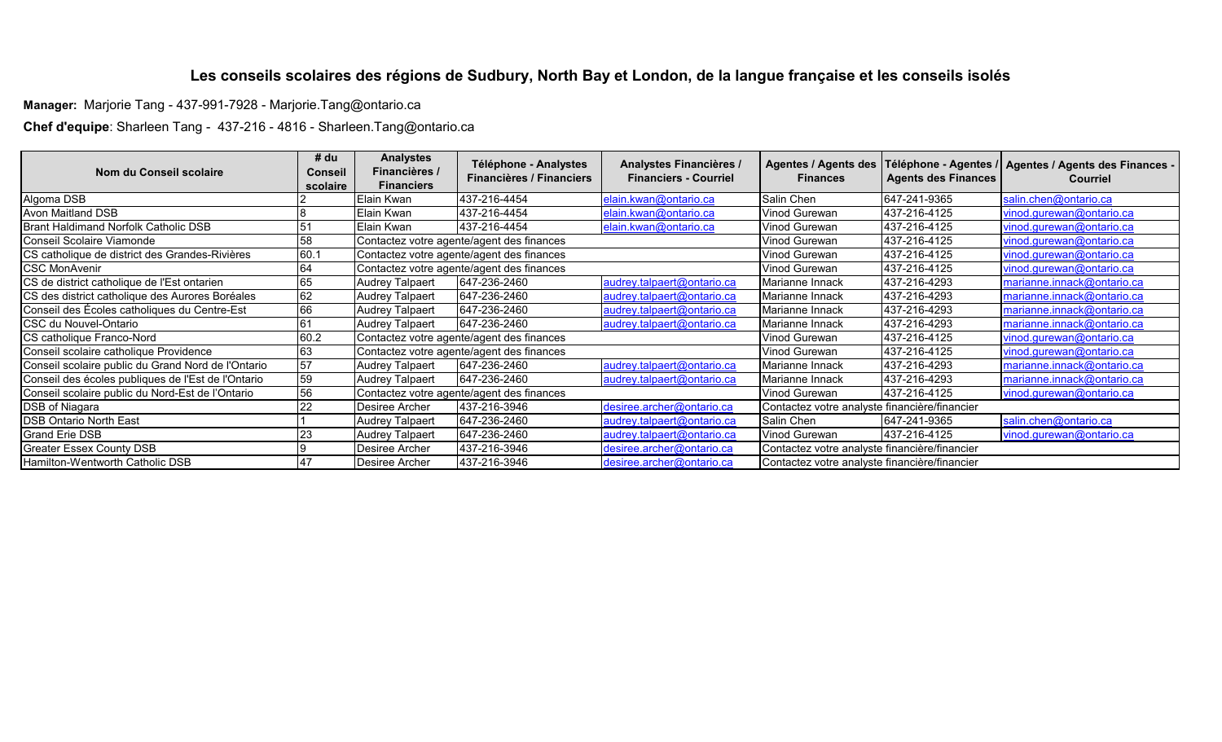## **Les conseils scolaires des régions de Sudbury, North Bay et London, de la langue française et les conseils isolés**

**Manager:** Marjorie Tang - 437-991-7928 - Marjorie.Tang@ontario.ca

**Chef d'equipe**: Sharleen Tang - 437-216 - 4816 - Sharleen.Tang@ontario.ca

| Nom du Conseil scolaire                            | # du<br><b>Conseil</b> | <b>Analystes</b><br>Financières /         | Téléphone - Analystes                     | Analystes Financières /      |                                               |                            | Agentes / Agents des   Téléphone - Agentes /   Agentes / Agents des Finances - |
|----------------------------------------------------|------------------------|-------------------------------------------|-------------------------------------------|------------------------------|-----------------------------------------------|----------------------------|--------------------------------------------------------------------------------|
|                                                    | scolaire               | <b>Financiers</b>                         | <b>Financières / Financiers</b>           | <b>Financiers - Courriel</b> | <b>Finances</b>                               | <b>Agents des Finances</b> | <b>Courriel</b>                                                                |
| Algoma DSB                                         |                        | Elain Kwan                                | 437-216-4454                              | elain.kwan@ontario.ca        | Salin Chen                                    | 647-241-9365               | salin.chen@ontario.ca                                                          |
| <b>Avon Maitland DSB</b>                           |                        | Elain Kwan                                | 437-216-4454                              | elain.kwan@ontario.ca        | Vinod Gurewan                                 | 437-216-4125               | vinod.gurewan@ontario.ca                                                       |
| Brant Haldimand Norfolk Catholic DSB               |                        | Elain Kwan                                | 437-216-4454                              | elain.kwan@ontario.ca        | Vinod Gurewan                                 | 437-216-4125               | vinod.gurewan@ontario.ca                                                       |
| Conseil Scolaire Viamonde                          | 58                     | Contactez votre agente/agent des finances |                                           |                              | Vinod Gurewan                                 | 437-216-4125               | vinod.gurewan@ontario.ca                                                       |
| CS catholique de district des Grandes-Rivières     | 60.1                   |                                           | Contactez votre agente/agent des finances |                              |                                               | 437-216-4125               | vinod.gurewan@ontario.ca                                                       |
| <b>CSC MonAvenir</b>                               | 64                     | Contactez votre agente/agent des finances |                                           |                              | Vinod Gurewan                                 | 437-216-4125               | vinod.gurewan@ontario.ca                                                       |
| CS de district catholique de l'Est ontarien        | 65                     | <b>Audrey Talpaert</b>                    | 647-236-2460                              | audrey.talpaert@ontario.ca   | Marianne Innack                               | 437-216-4293               | marianne.innack@ontario.ca                                                     |
| CS des district catholique des Aurores Boréales    | 62                     | <b>Audrey Talpaert</b>                    | 647-236-2460                              | audrey.talpaert@ontario.ca   | Marianne Innack                               | 437-216-4293               | marianne.innack@ontario.ca                                                     |
| Conseil des Écoles catholiques du Centre-Est       | 66                     | <b>Audrey Talpaert</b>                    | 647-236-2460                              | audrey.talpaert@ontario.ca   | Marianne Innack                               | 437-216-4293               | marianne.innack@ontario.ca                                                     |
| CSC du Nouvel-Ontario                              | 61                     | <b>Audrey Talpaert</b>                    | 647-236-2460                              | audrey.talpaert@ontario.ca   | Marianne Innack                               | 437-216-4293               | marianne.innack@ontario.ca                                                     |
| CS catholique Franco-Nord                          | 60.2                   | Contactez votre agente/agent des finances |                                           |                              | Vinod Gurewan                                 | 437-216-4125               | vinod.gurewan@ontario.ca                                                       |
| Conseil scolaire catholique Providence             | 63                     | Contactez votre agente/agent des finances |                                           |                              | Vinod Gurewan                                 | 437-216-4125               | vinod.gurewan@ontario.ca                                                       |
| Conseil scolaire public du Grand Nord de l'Ontario | 57                     | <b>Audrey Talpaert</b>                    | 647-236-2460                              | audrey.talpaert@ontario.ca   | Marianne Innack                               | 437-216-4293               | marianne.innack@ontario.ca                                                     |
| Conseil des écoles publiques de l'Est de l'Ontario | 59                     | <b>Audrey Talpaert</b>                    | 647-236-2460                              | audrey.talpaert@ontario.ca   | Marianne Innack                               | 437-216-4293               | marianne.innack@ontario.ca                                                     |
| Conseil scolaire public du Nord-Est de l'Ontario   | 56                     | Contactez votre agente/agent des finances |                                           |                              | Vinod Gurewan                                 | 437-216-4125               | vinod.gurewan@ontario.ca                                                       |
| DSB of Niagara                                     | 22                     | Desiree Archer                            | 437-216-3946                              | desiree.archer@ontario.ca    | Contactez votre analyste financière/financier |                            |                                                                                |
| <b>DSB Ontario North East</b>                      |                        | <b>Audrey Talpaert</b>                    | 647-236-2460                              | audrey.talpaert@ontario.ca   | Salin Chen                                    | 647-241-9365               | salin.chen@ontario.ca                                                          |
| <b>Grand Erie DSB</b>                              | 23                     | <b>Audrey Talpaert</b>                    | 647-236-2460                              | audrey.talpaert@ontario.ca   | Vinod Gurewan                                 | 437-216-4125               | vinod.gurewan@ontario.ca                                                       |
| <b>Greater Essex County DSB</b>                    |                        | Desiree Archer                            | 437-216-3946                              | desiree.archer@ontario.ca    | Contactez votre analyste financière/financier |                            |                                                                                |
| Hamilton-Wentworth Catholic DSB                    | 47                     | Desiree Archer                            | 437-216-3946                              | desiree.archer@ontario.ca    | Contactez votre analyste financière/financier |                            |                                                                                |